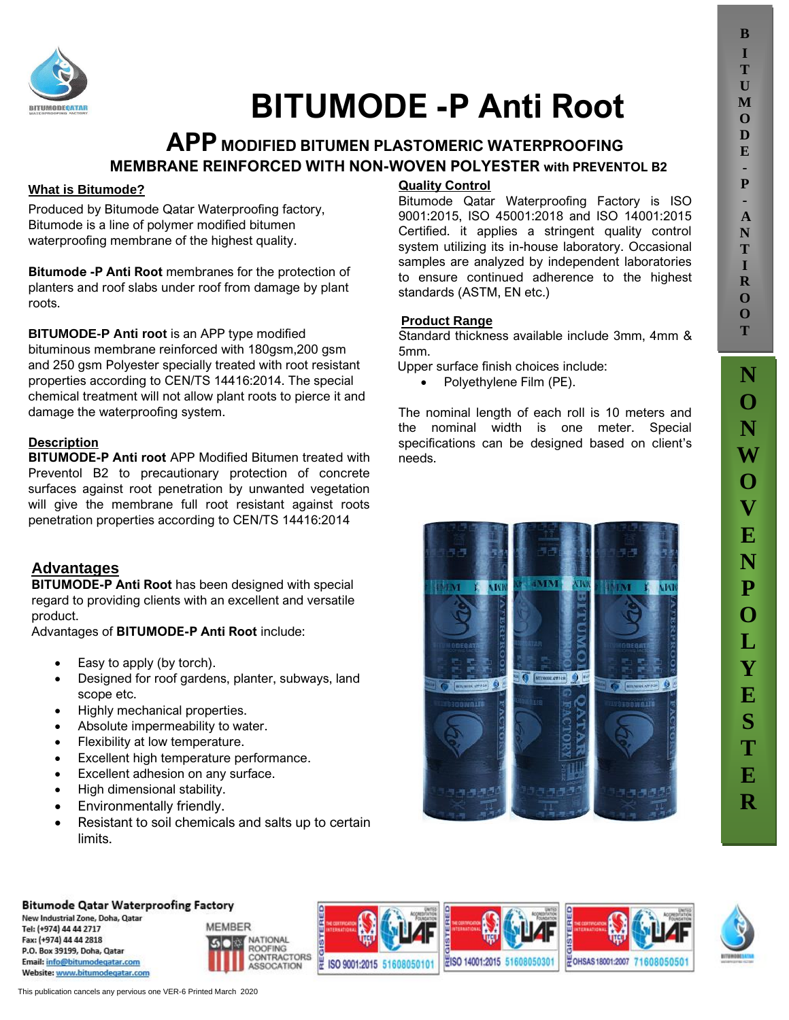

# **BITUMODE -P Anti Root**

# **APP MODIFIED BITUMEN PLASTOMERIC WATERPROOFING MEMBRANE REINFORCED WITH NON-WOVEN POLYESTER with PREVENTOL B2**

### **What is Bitumode?**

Produced by Bitumode Qatar Waterproofing factory, Bitumode is a line of polymer modified bitumen waterproofing membrane of the highest quality.

**Bitumode -P Anti Root** membranes for the protection of planters and roof slabs under roof from damage by plant roots.

**BITUMODE-P Anti root** is an APP type modified bituminous membrane reinforced with 180gsm,200 gsm and 250 gsm Polyester specially treated with root resistant properties according to CEN/TS 14416:2014. The special chemical treatment will not allow plant roots to pierce it and damage the waterproofing system.

### **Description**

**BITUMODE-P Anti root** APP Modified Bitumen treated with Preventol B2 to precautionary protection of concrete surfaces against root penetration by unwanted vegetation will give the membrane full root resistant against roots penetration properties according to CEN/TS 14416:2014

# **SA Advantages**

**BITUMODE-P Anti Root** has been designed with special regard to providing clients with an excellent and versatile product.

Advantages of **BITUMODE-P Anti Root** include:

- Easy to apply (by torch).
- Designed for roof gardens, planter, subways, land scope etc.
- Highly mechanical properties.
- Absolute impermeability to water.
- Flexibility at low temperature.
- Excellent high temperature performance.
- Excellent adhesion on any surface.
- High dimensional stability.
- Environmentally friendly.
- Resistant to soil chemicals and salts up to certain limits.

## **Quality Control**

Bitumode Qatar Waterproofing Factory is ISO 9001:2015, ISO 45001:2018 and ISO 14001:2015 Certified. it applies a stringent quality control system utilizing its in-house laboratory. Occasional samples are analyzed by independent laboratories to ensure continued adherence to the highest standards (ASTM, EN etc.)

### **Product Range**

Standard thickness available include 3mm, 4mm & 5mm.

Upper surface finish choices include:

• Polyethylene Film (PE).

The nominal length of each roll is 10 meters and the nominal width is one meter. Special specifications can be designed based on client's needs.



**B I T U M O D E - P - A N T**

### **Bitumode Qatar Waterproofing Factory**

New Industrial Zone, Doha, Qatar Tel: (+974) 44 44 2717 Fax: (+974) 44 44 2818 P.O. Box 39199, Doha, Oatar Email: info@bitumodegatar.com Website: www.bitumodegatar.com











This publication cancels any pervious one VER-6 Printed March 2020